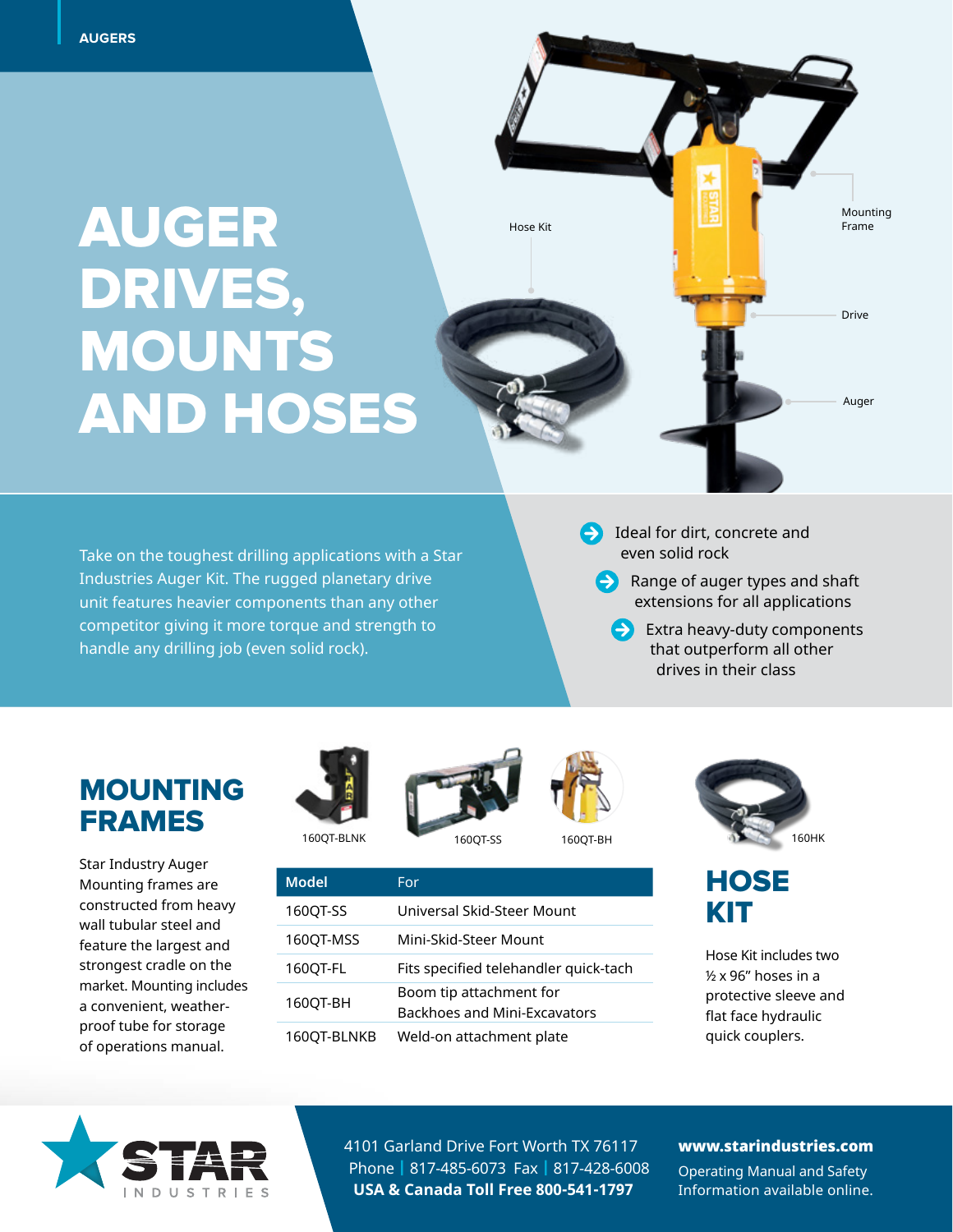# **DRIVES MOUN** AUGER DRIVES, MOUNTS AND HOSES

unit features heavier components than any other the substitution of the se<mark>xtensi</mark> Take on the toughest drilling applications with a Star Industries Auger Kit. The rugged planetary drive competitor giving it more torque and strength to handle any drilling job (even solid rock).

 $\rightarrow$  Ideal for dirt, concrete and even solid rock

Range of auger types and shaft extensions for all applications

Auger

Drive

Mounting Frame

 Extra heavy-duty components that outperform all other drives in their class

### MOUNTING FRAMES

Star Industry Auger Mounting frames are constructed from heavy wall tubular steel and feature the largest and strongest cradle on the market. Mounting includes a convenient, weatherproof tube for storage of operations manual.





**Model** For



Hose Kit

160QT-SS Universal Skid-Steer Mount

160QT-FL Fits specified telehandler quick-tach

160QT-MSS Mini-Skid-Steer Mount

160QT-BH Boom tip attachment for

160QT-BLNKB Weld-on attachment plate



### **HOSE** KIT

Hose Kit includes two ½ x 96" hoses in a protective sleeve and flat face hydraulic quick couplers.



4101 Garland Drive Fort Worth TX 76117 Phone | 817-485-6073 Fax | 817-428-6008 **USA & Canada Toll Free 800-541-1797**

Backhoes and Mini-Excavators

#### www.starindustries.com

Operating Manual and Safety Information available online.